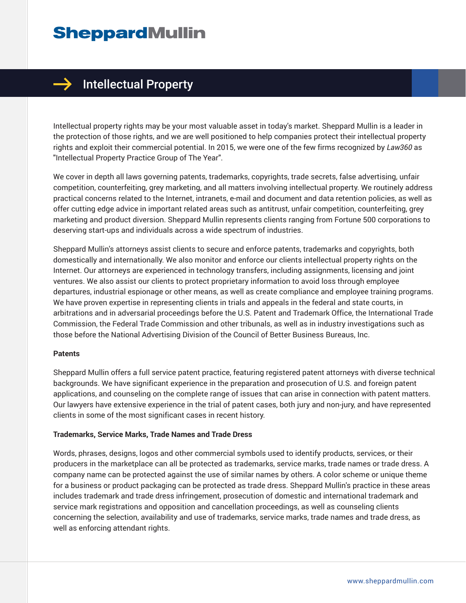# **SheppardMullin**



# $\rightarrow$  Intellectual Property

Intellectual property rights may be your most valuable asset in today's market. Sheppard Mullin is a leader in the protection of those rights, and we are well positioned to help companies protect their intellectual property rights and exploit their commercial potential. In 2015, we were one of the few firms recognized by *Law360* as "Intellectual Property Practice Group of The Year".

We cover in depth all laws governing patents, trademarks, copyrights, trade secrets, false advertising, unfair competition, counterfeiting, grey marketing, and all matters involving intellectual property. We routinely address practical concerns related to the Internet, intranets, e-mail and document and data retention policies, as well as offer cutting edge advice in important related areas such as antitrust, unfair competition, counterfeiting, grey marketing and product diversion. Sheppard Mullin represents clients ranging from Fortune 500 corporations to deserving start-ups and individuals across a wide spectrum of industries.

Sheppard Mullin's attorneys assist clients to secure and enforce patents, trademarks and copyrights, both domestically and internationally. We also monitor and enforce our clients intellectual property rights on the Internet. Our attorneys are experienced in technology transfers, including assignments, licensing and joint ventures. We also assist our clients to protect proprietary information to avoid loss through employee departures, industrial espionage or other means, as well as create compliance and employee training programs. We have proven expertise in representing clients in trials and appeals in the federal and state courts, in arbitrations and in adversarial proceedings before the U.S. Patent and Trademark Office, the International Trade Commission, the Federal Trade Commission and other tribunals, as well as in industry investigations such as those before the National Advertising Division of the Council of Better Business Bureaus, Inc.

#### **Patents**

Sheppard Mullin offers a full service patent practice, featuring registered patent attorneys with diverse technical backgrounds. We have significant experience in the preparation and prosecution of U.S. and foreign patent applications, and counseling on the complete range of issues that can arise in connection with patent matters. Our lawyers have extensive experience in the trial of patent cases, both jury and non-jury, and have represented clients in some of the most significant cases in recent history.

#### **Trademarks, Service Marks, Trade Names and Trade Dress**

Words, phrases, designs, logos and other commercial symbols used to identify products, services, or their producers in the marketplace can all be protected as trademarks, service marks, trade names or trade dress. A company name can be protected against the use of similar names by others. A color scheme or unique theme for a business or product packaging can be protected as trade dress. Sheppard Mullin's practice in these areas includes trademark and trade dress infringement, prosecution of domestic and international trademark and service mark registrations and opposition and cancellation proceedings, as well as counseling clients concerning the selection, availability and use of trademarks, service marks, trade names and trade dress, as well as enforcing attendant rights.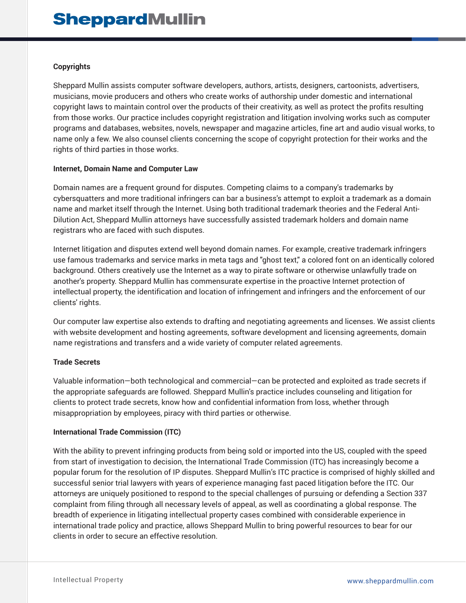# **Copyrights**

Sheppard Mullin assists computer software developers, authors, artists, designers, cartoonists, advertisers, musicians, movie producers and others who create works of authorship under domestic and international copyright laws to maintain control over the products of their creativity, as well as protect the profits resulting from those works. Our practice includes copyright registration and litigation involving works such as computer programs and databases, websites, novels, newspaper and magazine articles, fine art and audio visual works, to name only a few. We also counsel clients concerning the scope of copyright protection for their works and the rights of third parties in those works.

#### **Internet, Domain Name and Computer Law**

Domain names are a frequent ground for disputes. Competing claims to a company's trademarks by cybersquatters and more traditional infringers can bar a business's attempt to exploit a trademark as a domain name and market itself through the Internet. Using both traditional trademark theories and the Federal Anti-Dilution Act, Sheppard Mullin attorneys have successfully assisted trademark holders and domain name registrars who are faced with such disputes.

Internet litigation and disputes extend well beyond domain names. For example, creative trademark infringers use famous trademarks and service marks in meta tags and "ghost text," a colored font on an identically colored background. Others creatively use the Internet as a way to pirate software or otherwise unlawfully trade on another's property. Sheppard Mullin has commensurate expertise in the proactive Internet protection of intellectual property, the identification and location of infringement and infringers and the enforcement of our clients' rights.

Our computer law expertise also extends to drafting and negotiating agreements and licenses. We assist clients with website development and hosting agreements, software development and licensing agreements, domain name registrations and transfers and a wide variety of computer related agreements.

# **Trade Secrets**

Valuable information—both technological and commercial—can be protected and exploited as trade secrets if the appropriate safeguards are followed. Sheppard Mullin's practice includes counseling and litigation for clients to protect trade secrets, know how and confidential information from loss, whether through misappropriation by employees, piracy with third parties or otherwise.

# **International Trade Commission (ITC)**

With the ability to prevent infringing products from being sold or imported into the US, coupled with the speed from start of investigation to decision, the International Trade Commission (ITC) has increasingly become a popular forum for the resolution of IP disputes. Sheppard Mullin's ITC practice is comprised of highly skilled and successful senior trial lawyers with years of experience managing fast paced litigation before the ITC. Our attorneys are uniquely positioned to respond to the special challenges of pursuing or defending a Section 337 complaint from filing through all necessary levels of appeal, as well as coordinating a global response. The breadth of experience in litigating intellectual property cases combined with considerable experience in international trade policy and practice, allows Sheppard Mullin to bring powerful resources to bear for our clients in order to secure an effective resolution.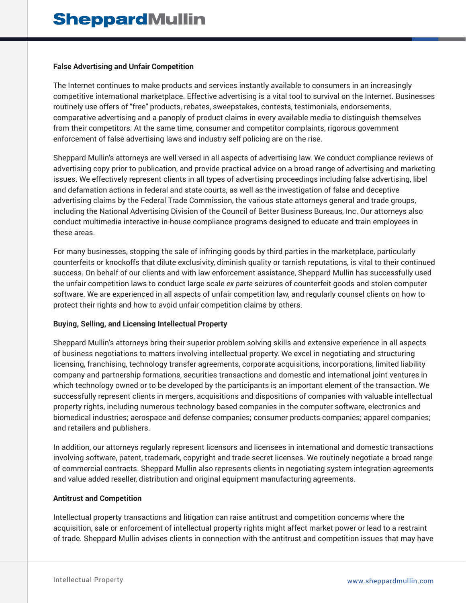#### **False Advertising and Unfair Competition**

The Internet continues to make products and services instantly available to consumers in an increasingly competitive international marketplace. Effective advertising is a vital tool to survival on the Internet. Businesses routinely use offers of "free" products, rebates, sweepstakes, contests, testimonials, endorsements, comparative advertising and a panoply of product claims in every available media to distinguish themselves from their competitors. At the same time, consumer and competitor complaints, rigorous government enforcement of false advertising laws and industry self policing are on the rise.

Sheppard Mullin's attorneys are well versed in all aspects of advertising law. We conduct compliance reviews of advertising copy prior to publication, and provide practical advice on a broad range of advertising and marketing issues. We effectively represent clients in all types of advertising proceedings including false advertising, libel and defamation actions in federal and state courts, as well as the investigation of false and deceptive advertising claims by the Federal Trade Commission, the various state attorneys general and trade groups, including the National Advertising Division of the Council of Better Business Bureaus, Inc. Our attorneys also conduct multimedia interactive in-house compliance programs designed to educate and train employees in these areas.

For many businesses, stopping the sale of infringing goods by third parties in the marketplace, particularly counterfeits or knockoffs that dilute exclusivity, diminish quality or tarnish reputations, is vital to their continued success. On behalf of our clients and with law enforcement assistance, Sheppard Mullin has successfully used the unfair competition laws to conduct large scale *ex parte* seizures of counterfeit goods and stolen computer software. We are experienced in all aspects of unfair competition law, and regularly counsel clients on how to protect their rights and how to avoid unfair competition claims by others.

# **Buying, Selling, and Licensing Intellectual Property**

Sheppard Mullin's attorneys bring their superior problem solving skills and extensive experience in all aspects of business negotiations to matters involving intellectual property. We excel in negotiating and structuring licensing, franchising, technology transfer agreements, corporate acquisitions, incorporations, limited liability company and partnership formations, securities transactions and domestic and international joint ventures in which technology owned or to be developed by the participants is an important element of the transaction. We successfully represent clients in mergers, acquisitions and dispositions of companies with valuable intellectual property rights, including numerous technology based companies in the computer software, electronics and biomedical industries; aerospace and defense companies; consumer products companies; apparel companies; and retailers and publishers.

In addition, our attorneys regularly represent licensors and licensees in international and domestic transactions involving software, patent, trademark, copyright and trade secret licenses. We routinely negotiate a broad range of commercial contracts. Sheppard Mullin also represents clients in negotiating system integration agreements and value added reseller, distribution and original equipment manufacturing agreements.

# **Antitrust and Competition**

Intellectual property transactions and litigation can raise antitrust and competition concerns where the acquisition, sale or enforcement of intellectual property rights might affect market power or lead to a restraint of trade. Sheppard Mullin advises clients in connection with the antitrust and competition issues that may have